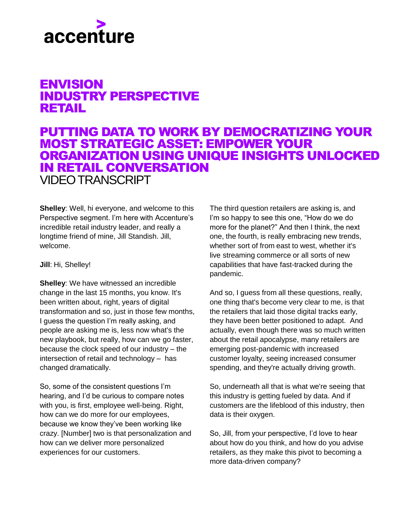## accenture

## ENVISION INDUSTRY PERSPECTIVE RETAIL

## PUTTING DATA TO WORK BY DEMOCRATIZING YOUR MOST STRATEGIC ASSET: EMPOWER YOUR ORGANIZATION USING UNIQUE INSIGHTS UNLOCKED IN RETAIL CONVERSATION VIDEO TRANSCRIPT

**Shelley**: Well, hi everyone, and welcome to this Perspective segment. I'm here with Accenture's incredible retail industry leader, and really a longtime friend of mine, Jill Standish. Jill, welcome.

## **Jill**: Hi, Shelley!

**Shelley**: We have witnessed an incredible change in the last 15 months, you know. It's been written about, right, years of digital transformation and so, just in those few months, I guess the question I'm really asking, and people are asking me is, less now what's the new playbook, but really, how can we go faster, because the clock speed of our industry – the intersection of retail and technology – has changed dramatically.

So, some of the consistent questions I'm hearing, and I'd be curious to compare notes with you, is first, employee well-being. Right, how can we do more for our employees, because we know they've been working like crazy. [Number] two is that personalization and how can we deliver more personalized experiences for our customers.

The third question retailers are asking is, and I'm so happy to see this one, "How do we do more for the planet?" And then I think, the next one, the fourth, is really embracing new trends, whether sort of from east to west, whether it's live streaming commerce or all sorts of new capabilities that have fast-tracked during the pandemic.

And so, I guess from all these questions, really, one thing that's become very clear to me, is that the retailers that laid those digital tracks early, they have been better positioned to adapt. And actually, even though there was so much written about the retail apocalypse, many retailers are emerging post-pandemic with increased customer loyalty, seeing increased consumer spending, and they're actually driving growth.

So, underneath all that is what we're seeing that this industry is getting fueled by data. And if customers are the lifeblood of this industry, then data is their oxygen.

So, Jill, from your perspective, I'd love to hear about how do you think, and how do you advise retailers, as they make this pivot to becoming a more data-driven company?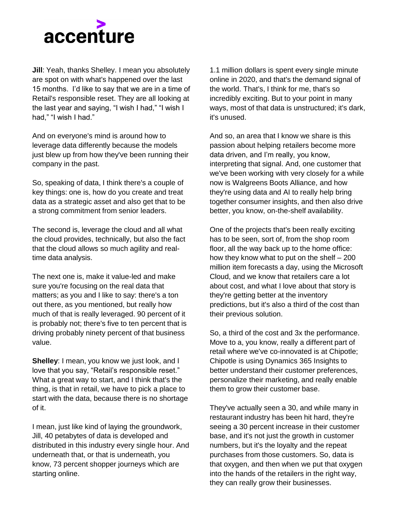

**Jill**: Yeah, thanks Shelley. I mean you absolutely are spot on with what's happened over the last 15 months. I'd like to say that we are in a time of Retail's responsible reset. They are all looking at the last year and saying, "I wish I had," "I wish I had," "I wish I had."

And on everyone's mind is around how to leverage data differently because the models just blew up from how they've been running their company in the past.

So, speaking of data, I think there's a couple of key things: one is, how do you create and treat data as a strategic asset and also get that to be a strong commitment from senior leaders.

The second is, leverage the cloud and all what the cloud provides, technically, but also the fact that the cloud allows so much agility and realtime data analysis.

The next one is, make it value-led and make sure you're focusing on the real data that matters; as you and I like to say: there's a ton out there, as you mentioned, but really how much of that is really leveraged. 90 percent of it is probably not; there's five to ten percent that is driving probably ninety percent of that business value.

**Shelley**: I mean, you know we just look, and I love that you say, "Retail's responsible reset." What a great way to start, and I think that's the thing, is that in retail, we have to pick a place to start with the data, because there is no shortage of it.

I mean, just like kind of laying the groundwork, Jill, 40 petabytes of data is developed and distributed in this industry every single hour. And underneath that, or that is underneath, you know, 73 percent shopper journeys which are starting online.

1.1 million dollars is spent every single minute online in 2020, and that's the demand signal of the world. That's, I think for me, that's so incredibly exciting. But to your point in many ways, most of that data is unstructured; it's dark, it's unused.

And so, an area that I know we share is this passion about helping retailers become more data driven, and I'm really, you know, interpreting that signal. And, one customer that we've been working with very closely for a while now is Walgreens Boots Alliance, and how they're using data and AI to really help bring together consumer insights, and then also drive better, you know, on-the-shelf availability.

One of the projects that's been really exciting has to be seen, sort of, from the shop room floor, all the way back up to the home office: how they know what to put on the shelf  $-200$ million item forecasts a day, using the Microsoft Cloud, and we know that retailers care a lot about cost, and what I love about that story is they're getting better at the inventory predictions, but it's also a third of the cost than their previous solution.

So, a third of the cost and 3x the performance. Move to a, you know, really a different part of retail where we've co-innovated is at Chipotle; Chipotle is using Dynamics 365 Insights to better understand their customer preferences, personalize their marketing, and really enable them to grow their customer base.

They've actually seen a 30, and while many in restaurant industry has been hit hard, they're seeing a 30 percent increase in their customer base, and it's not just the growth in customer numbers, but it's the loyalty and the repeat purchases from those customers. So, data is that oxygen, and then when we put that oxygen into the hands of the retailers in the right way, they can really grow their businesses.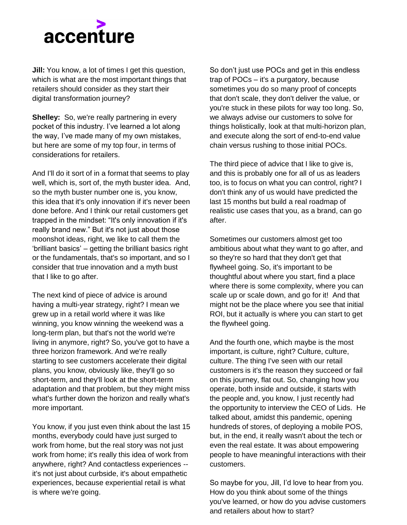

**Jill:** You know, a lot of times I get this question, which is what are the most important things that retailers should consider as they start their digital transformation journey?

**Shelley:** So, we're really partnering in every pocket of this industry. I've learned a lot along the way, I've made many of my own mistakes, but here are some of my top four, in terms of considerations for retailers.

And I'll do it sort of in a format that seems to play well, which is, sort of, the myth buster idea. And, so the myth buster number one is, you know, this idea that it's only innovation if it's never been done before. And I think our retail customers get trapped in the mindset: "It's only innovation if it's really brand new." But it's not just about those moonshot ideas, right, we like to call them the 'brilliant basics' – getting the brilliant basics right or the fundamentals, that's so important, and so I consider that true innovation and a myth bust that I like to go after.

The next kind of piece of advice is around having a multi-year strategy, right? I mean we grew up in a retail world where it was like winning, you know winning the weekend was a long-term plan, but that's not the world we're living in anymore, right? So, you've got to have a three horizon framework. And we're really starting to see customers accelerate their digital plans, you know, obviously like, they'll go so short-term, and they'll look at the short-term adaptation and that problem, but they might miss what's further down the horizon and really what's more important.

You know, if you just even think about the last 15 months, everybody could have just surged to work from home, but the real story was not just work from home; it's really this idea of work from anywhere, right? And contactless experiences - it's not just about curbside, it's about empathetic experiences, because experiential retail is what is where we're going.

So don't just use POCs and get in this endless trap of POCs – it's a purgatory, because sometimes you do so many proof of concepts that don't scale, they don't deliver the value, or you're stuck in these pilots for way too long. So, we always advise our customers to solve for things holistically, look at that multi-horizon plan, and execute along the sort of end-to-end value chain versus rushing to those initial POCs.

The third piece of advice that I like to give is, and this is probably one for all of us as leaders too, is to focus on what you can control, right? I don't think any of us would have predicted the last 15 months but build a real roadmap of realistic use cases that you, as a brand, can go after.

Sometimes our customers almost get too ambitious about what they want to go after, and so they're so hard that they don't get that flywheel going. So, it's important to be thoughtful about where you start, find a place where there is some complexity, where you can scale up or scale down, and go for it! And that might not be the place where you see that initial ROI, but it actually is where you can start to get the flywheel going.

And the fourth one, which maybe is the most important, is culture, right? Culture, culture, culture. The thing I've seen with our retail customers is it's the reason they succeed or fail on this journey, flat out. So, changing how you operate, both inside and outside, it starts with the people and, you know, I just recently had the opportunity to interview the CEO of Lids. He talked about, amidst this pandemic, opening hundreds of stores, of deploying a mobile POS, but, in the end, it really wasn't about the tech or even the real estate. It was about empowering people to have meaningful interactions with their customers.

So maybe for you, Jill, I'd love to hear from you. How do you think about some of the things you've learned, or how do you advise customers and retailers about how to start?